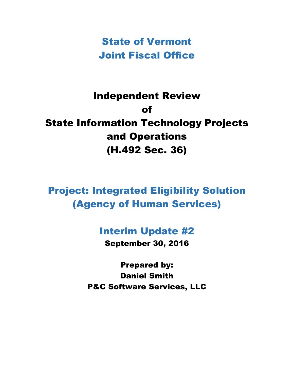State of Vermont Joint Fiscal Office

# Independent Review of State Information Technology Projects and Operations (H.492 Sec. 36)

Project: Integrated Eligibility Solution (Agency of Human Services)

## Interim Update #2

September 30, 2016

Prepared by: Daniel Smith P&C Software Services, LLC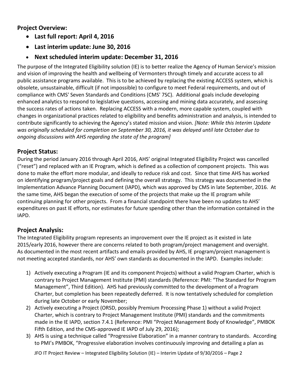**Project Overview:**

- **Last full report: April 4, 2016**
- **Last interim update: June 30, 2016**

#### **Next scheduled interim update: December 31, 2016**

The purpose of the Integrated Eligibility solution (IE) is to better realize the Agency of Human Service's mission and vision of improving the health and wellbeing of Vermonters through timely and accurate access to all public assistance programs available. This is to be achieved by replacing the existing ACCESS system, which is obsolete, unsustainable, difficult (if not impossible) to configure to meet Federal requirements, and out of compliance with CMS' Seven Standards and Conditions (CMS' 7SC). Additional goals include developing enhanced analytics to respond to legislative questions, accessing and mining data accurately, and assessing the success rates of actions taken. Replacing ACCESS with a modern, more capable system, coupled with changes in organizational practices related to eligibility and benefits administration and analysis, is intended to contribute significantly to achieving the Agency's stated mission and vision. *[Note: While this Interim Update was originally scheduled for completion on September 30, 2016, it was delayed until late October due to ongoing discussions with AHS regarding the state of the program]*

#### **Project Status:**

During the period January 2016 through April 2016, AHS' original Integrated Eligibility Project was cancelled ("reset") and replaced with an IE Program, which is defined as a collection of component projects. This was done to make the effort more modular, and ideally to reduce risk and cost. Since that time AHS has worked on identifying program/project goals and defining the overall strategy. This strategy was documented in the Implementation Advance Planning Document (IAPD), which was approved by CMS in late September, 2016. At the same time, AHS began the execution of some of the projects that make up the IE program while continuing planning for other projects. From a financial standpoint there have been no updates to AHS' expenditures on past IE efforts, nor estimates for future spending other than the information contained in the IAPD.

#### **Project Analysis:**

The Integrated Eligibility program represents an improvement over the IE project as it existed in late 2015/early 2016, however there are concerns related to both program/project management and oversight. As documented in the most recent artifacts and emails provided by AHS, IE program/project management is not meeting accepted standards, nor AHS' own standards as documented in the IAPD. Examples include:

- 1) Actively executing a Program (IE and its component Projects) without a valid Program Charter, which is contrary to Project Management Institute (PMI) standards (Reference: PMI: "The Standard for Program Management", Third Edition). AHS had previously committed to the development of a Program Charter, but completion has been repeatedly deferred. It is now tentatively scheduled for completion during late October or early November;
- 2) Actively executing a Project (ORSD, possibly Premium Processing Phase 1) without a valid Project Charter, which is contrary to Project Management Institute (PMI) standards and the commitments made in the IE IAPD, section 7.4.1 (Reference: PMI "Project Management Body of Knowledge", PMBOK Fifth Edition, and the CMS-approved IE IAPD of July 29, 2016);
- 3) AHS is using a technique called "Progressive Elaboration" in a manner contrary to standards. According to PMI's PMBOK, "Progressive elaboration involves continuously improving and detailing a plan as

JFO IT Project Review – Integrated Eligibility Solution (IE) – Interim Update of 9/30/2016 – Page 2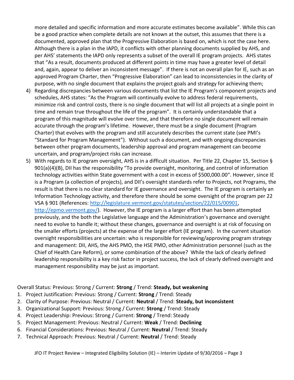more detailed and specific information and more accurate estimates become available". While this can be a good practice when complete details are not known at the outset, this assumes that there is a documented, approved plan that the Progressive Elaboration is based on, which is not the case here. Although there is a plan in the IAPD, it conflicts with other planning documents supplied by AHS, and per AHS' statements the IAPD only represents a subset of the overall IE program projects. AHS states that "As a result, documents produced at different points in time may have a greater level of detail and, again, appear to deliver an inconsistent message". If there is not an overall plan for IE, such as an approved Program Charter, then "Progressive Elaboration" can lead to inconsistencies in the clarity of purpose, with no single document that explains the project goals and strategy for achieving them;

- 4) Regarding discrepancies between various documents that list the IE Program's component projects and schedules, AHS states: "As the Program will continually evolve to address federal requirements, minimize risk and control costs, there is no single document that will list all projects at a single point in time and remain true throughout the life of the program". It is certainly understandable that a program of this magnitude will evolve over time, and that therefore no single document will remain accurate through the program's lifetime. However, there must be a single document (Program Charter) that evolves with the program and still accurately describes the current state (see PMI's "Standard for Program Management"). Without such a document, and with ongoing discrepancies between other program documents, leadership approval and program management can become uncertain, and program/project risks can increase.
- 5) With regards to IE program oversight, AHS is in a difficult situation. Per Title 22, Chapter 15, Section § 901(a)(4)(B), DII has the responsibility "To provide oversight, monitoring, and control of information technology activities within State government with a cost in excess of \$500,000.00". However, since IE is a Program (a collection of projects), and DII's oversight standards refer to Projects, not Programs, the result is that there is no clear standard for IE governance and oversight. The IE program is certainly an Information Technology activity, and therefore there should be some oversight of the program per 22 VSA § 901 (References: [http://legislature.vermont.gov/statutes/section/22/015/00901,](http://legislature.vermont.gov/statutes/section/22/015/00901) [http://epmo.vermont.gov/\)](http://epmo.vermont.gov/). However, the IE program is a larger effort than has been attempted previously, and the both the Legislative language and the Administration's governance and oversight need to evolve to handle it; without these changes, governance and oversight is at risk of focusing on the smaller efforts (projects) at the expense of the larger effort (IE program). In the current situation oversight responsibilities are uncertain: who is responsible for reviewing/approving program strategy and management: DII, AHS, the AHS PMO, the HSE PMO, other Administration personnel (such as the Chief of Health Care Reform), or some combination of the above? While the lack of clearly defined leadership responsibility is a key risk factor in project success, the lack of clearly defined oversight and management responsibility may be just as important.

Overall Status: Previous: Strong / Current: **Strong** / Trend: **Steady, but weakening**

- 1. Project Justification: Previous: Strong / Current: **Strong** / Trend: Steady
- 2. Clarity of Purpose: Previous: Neutral / Current: **Neutral** / Trend: **Steady, but inconsistent**
- 3. Organizational Support: Previous: Strong / Current: **Strong** / Trend: Steady
- 4. Project Leadership: Previous: Strong / Current: **Strong** / Trend: Steady
- 5. Project Management: Previous: Neutral / Current: **Weak** / Trend: **Declining**
- 6. Financial Considerations: Previous: Neutral / Current: **Neutral** / Trend: Steady
- 7. Technical Approach: Previous: Neutral / Current: **Neutral** / Trend: Steady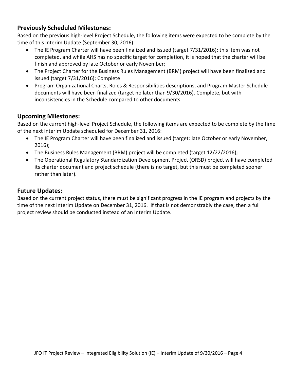#### **Previously Scheduled Milestones:**

Based on the previous high-level Project Schedule, the following items were expected to be complete by the time of this Interim Update (September 30, 2016):

- The IE Program Charter will have been finalized and issued (target 7/31/2016); this item was not completed, and while AHS has no specific target for completion, it is hoped that the charter will be finish and approved by late October or early November;
- The Project Charter for the Business Rules Management (BRM) project will have been finalized and issued (target 7/31/2016); Complete
- Program Organizational Charts, Roles & Responsibilities descriptions, and Program Master Schedule documents will have been finalized (target no later than 9/30/2016). Complete, but with inconsistencies in the Schedule compared to other documents.

#### **Upcoming Milestones:**

Based on the current high-level Project Schedule, the following items are expected to be complete by the time of the next Interim Update scheduled for December 31, 2016:

- The IE Program Charter will have been finalized and issued (target: late October or early November, 2016);
- The Business Rules Management (BRM) project will be completed (target 12/22/2016);
- The Operational Regulatory Standardization Development Project (ORSD) project will have completed its charter document and project schedule (there is no target, but this must be completed sooner rather than later).

#### **Future Updates:**

Based on the current project status, there must be significant progress in the IE program and projects by the time of the next Interim Update on December 31, 2016. If that is not demonstrably the case, then a full project review should be conducted instead of an Interim Update.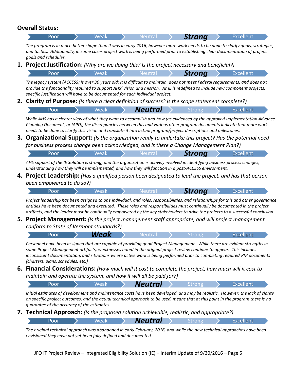|    | <b>Overall Status:</b>                                                                                                                                                                                                                                                                                                                              |  |      |  |                |  |               |  |                                                                                                                                                                                                                                                                                                                                                                                                         |
|----|-----------------------------------------------------------------------------------------------------------------------------------------------------------------------------------------------------------------------------------------------------------------------------------------------------------------------------------------------------|--|------|--|----------------|--|---------------|--|---------------------------------------------------------------------------------------------------------------------------------------------------------------------------------------------------------------------------------------------------------------------------------------------------------------------------------------------------------------------------------------------------------|
|    | Poor                                                                                                                                                                                                                                                                                                                                                |  | Weak |  | <b>Neutral</b> |  | <b>Strong</b> |  | <b>Excellent</b>                                                                                                                                                                                                                                                                                                                                                                                        |
|    | goals and schedules.                                                                                                                                                                                                                                                                                                                                |  |      |  |                |  |               |  | The program is in much better shape than it was in early 2016, however more work needs to be done to clarify goals, strategies,<br>and tactics. Additionally, in some cases project work is being performed prior to establishing clear documentation of project                                                                                                                                        |
|    | <b>1. Project Justification:</b> (Why are we doing this? Is the project necessary and beneficial?)                                                                                                                                                                                                                                                  |  |      |  |                |  |               |  |                                                                                                                                                                                                                                                                                                                                                                                                         |
|    | Poor                                                                                                                                                                                                                                                                                                                                                |  | Weak |  | <b>Neutral</b> |  | <b>Strong</b> |  | <b>Excellent</b>                                                                                                                                                                                                                                                                                                                                                                                        |
|    | specific justification will have to be documented for each individual project.                                                                                                                                                                                                                                                                      |  |      |  |                |  |               |  | The legacy system (ACCESS) is over 30 years old; it is difficult to maintain, does not meet Federal requirements, and does not<br>provide the functionality required to support AHS' vision and mission. As IE is redefined to include new component projects,                                                                                                                                          |
|    | <b>2. Clarity of Purpose:</b> (Is there a clear definition of success? Is the scope statement complete?)                                                                                                                                                                                                                                            |  |      |  |                |  |               |  |                                                                                                                                                                                                                                                                                                                                                                                                         |
|    | Poor                                                                                                                                                                                                                                                                                                                                                |  | Weak |  | <b>Neutral</b> |  | Strong        |  | <b>Excellent</b>                                                                                                                                                                                                                                                                                                                                                                                        |
| 3. | needs to be done to clarify this vision and translate it into actual program/project descriptions and milestones.<br>for business process change been acknowledged, and is there a Change Management Plan?)<br>Poor                                                                                                                                 |  | Weak |  | Neutral        |  | <b>Strong</b> |  | Planning Document, or IAPD), the discrepancies between this and various other program documents indicate that more work<br>Organizational Support: (Is the organization ready to undertake this project? Has the potential need<br><b>Excellent</b>                                                                                                                                                     |
| 4. | AHS support of the IE Solution is strong, and the organization is actively involved in identifying business process changes,<br>understanding how they will be implemented, and how they will function in a post-ACCESS environment.<br><b>Project Leadership:</b> (Has a qualified person been designated to lead the project, and has that person |  |      |  |                |  |               |  |                                                                                                                                                                                                                                                                                                                                                                                                         |
|    | been empowered to do so?)                                                                                                                                                                                                                                                                                                                           |  |      |  |                |  |               |  |                                                                                                                                                                                                                                                                                                                                                                                                         |
|    | Poor                                                                                                                                                                                                                                                                                                                                                |  | Weak |  | <b>Neutra</b>  |  | <b>Strong</b> |  | <b>Excellent</b>                                                                                                                                                                                                                                                                                                                                                                                        |
|    |                                                                                                                                                                                                                                                                                                                                                     |  |      |  |                |  |               |  | Project leadership has been assigned to one individual, and roles, responsibilities, and relationships for this and other governance<br>entities have been documented and executed. These roles and responsibilities must continually be documented in the project<br>artifacts, and the leader must be continually empowered by the key stakeholders to drive the projects to a successful conclusion. |
| 5. |                                                                                                                                                                                                                                                                                                                                                     |  |      |  |                |  |               |  | <b>Project Management:</b> (Is the project management staff appropriate, and will project management                                                                                                                                                                                                                                                                                                    |
|    | conform to State of Vermont standards?)                                                                                                                                                                                                                                                                                                             |  |      |  |                |  |               |  |                                                                                                                                                                                                                                                                                                                                                                                                         |
|    | Poor                                                                                                                                                                                                                                                                                                                                                |  | Weak |  | Neutral        |  | <b>Strong</b> |  | <b>Excellent</b>                                                                                                                                                                                                                                                                                                                                                                                        |
|    | some Project Management artifacts, weaknesses noted in the original project review continue to appear. This includes<br>(charters, plans, schedules, etc.)                                                                                                                                                                                          |  |      |  |                |  |               |  | Personnel have been assigned that are capable of providing good Project Management. While there are evident strengths in<br>inconsistent documentation, and situations where active work is being performed prior to completing required PM documents                                                                                                                                                   |

**6. Financial Considerations:** *(How much will it cost to complete the project, how much will it cost to maintain and operate the system, and how it will all be paid for?)*

Poor > Weak > **Neutral** > Strong > Excellent

*Initial estimates of development and maintenance costs have been developed, and may be realistic. However, the lack of clarity on specific project outcomes, and the actual technical approach to be used, means that at this point in the program there is no guarantee of the accuracy of the estimates.*

**7. Technical Approach:** *(Is the proposed solution achievable, realistic, and appropriate?)*

|  |  | <b>Neutral</b> |  |  |
|--|--|----------------|--|--|
|  |  |                |  |  |

*The original technical approach was abandoned in early February, 2016, and while the new technical approaches have been envisioned they have not yet been fully defined and documented.*